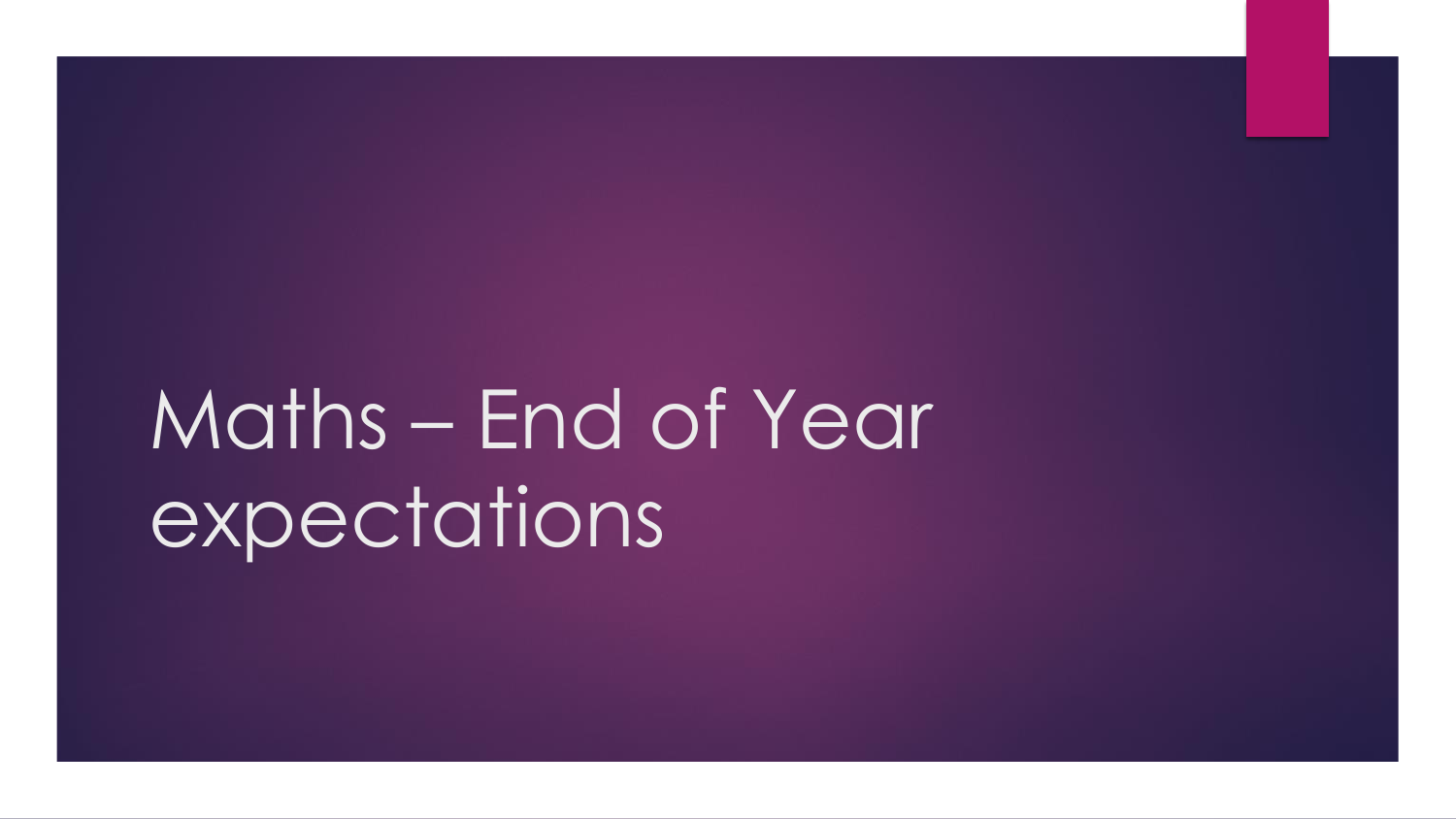# Maths – End of Year expectations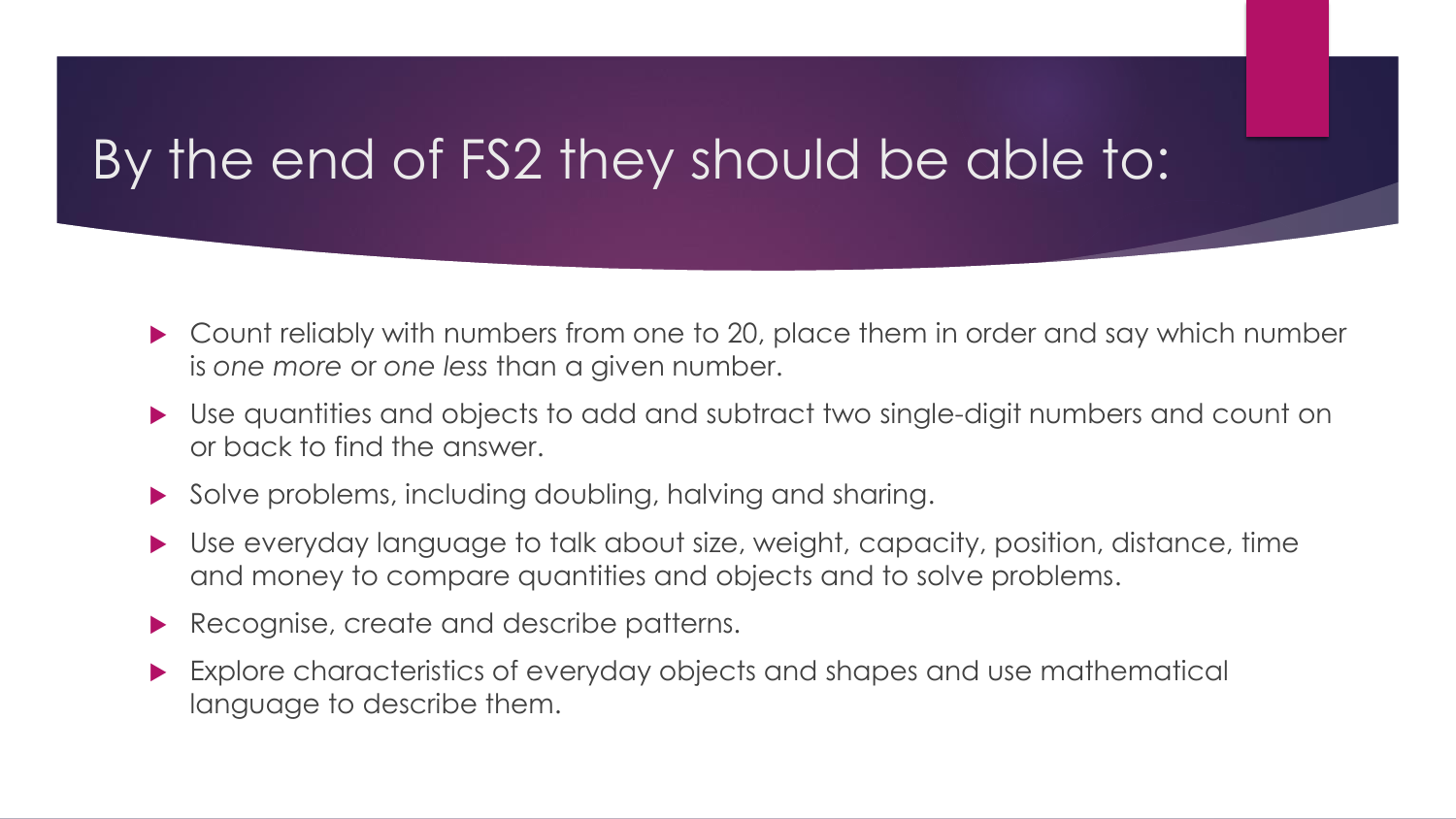# By the end of FS2 they should be able to:

- ▶ Count reliably with numbers from one to 20, place them in order and say which number is *one more* or *one less* than a given number.
- Use quantities and objects to add and subtract two single-digit numbers and count on or back to find the answer.
- Solve problems, including doubling, halving and sharing.
- Use everyday language to talk about size, weight, capacity, position, distance, time and money to compare quantities and objects and to solve problems.
- Recognise, create and describe patterns.
- Explore characteristics of everyday objects and shapes and use mathematical language to describe them.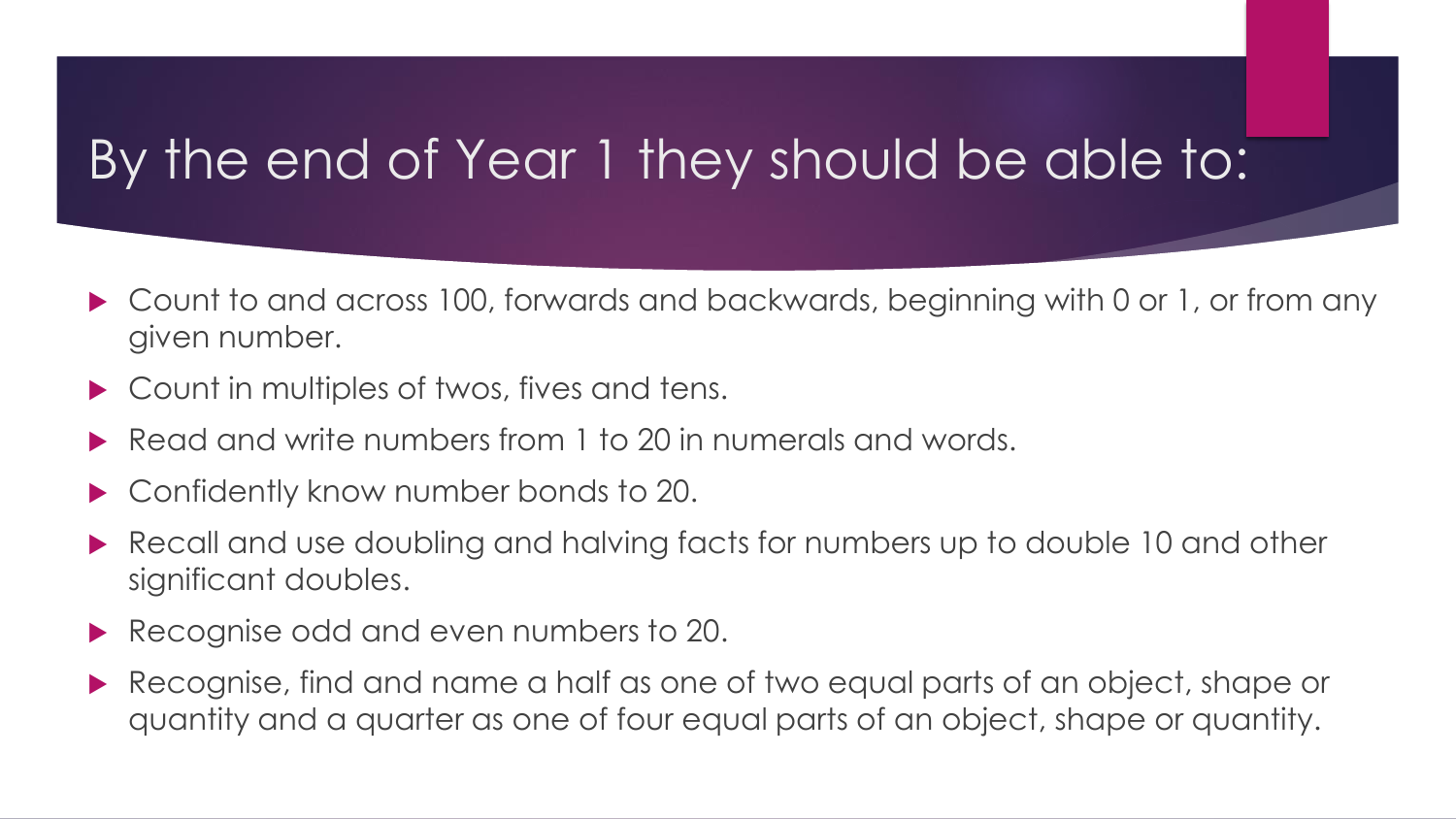# By the end of Year 1 they should be able to:

- ▶ Count to and across 100, forwards and backwards, beginning with 0 or 1, or from any given number.
- ▶ Count in multiples of twos, fives and tens.
- Read and write numbers from 1 to 20 in numerals and words.
- Confidently know number bonds to 20.
- Recall and use doubling and halving facts for numbers up to double 10 and other significant doubles.
- Recognise odd and even numbers to 20.
- Recognise, find and name a half as one of two equal parts of an object, shape or quantity and a quarter as one of four equal parts of an object, shape or quantity.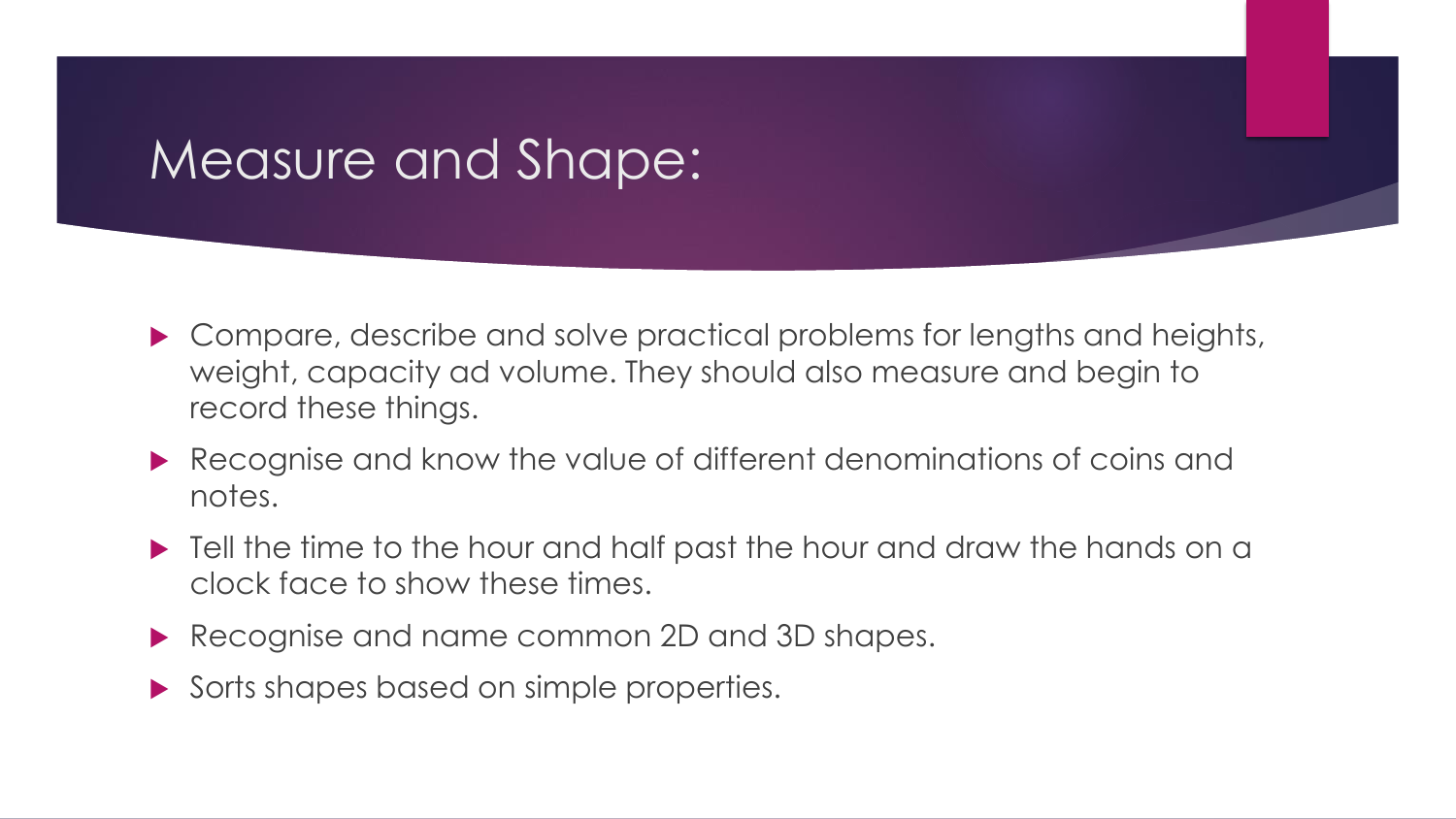### Measure and Shape:

- ▶ Compare, describe and solve practical problems for lengths and heights, weight, capacity ad volume. They should also measure and begin to record these things.
- Recognise and know the value of different denominations of coins and notes.
- $\blacktriangleright$  Tell the time to the hour and half past the hour and draw the hands on a clock face to show these times.
- Recognise and name common 2D and 3D shapes.
- Sorts shapes based on simple properties.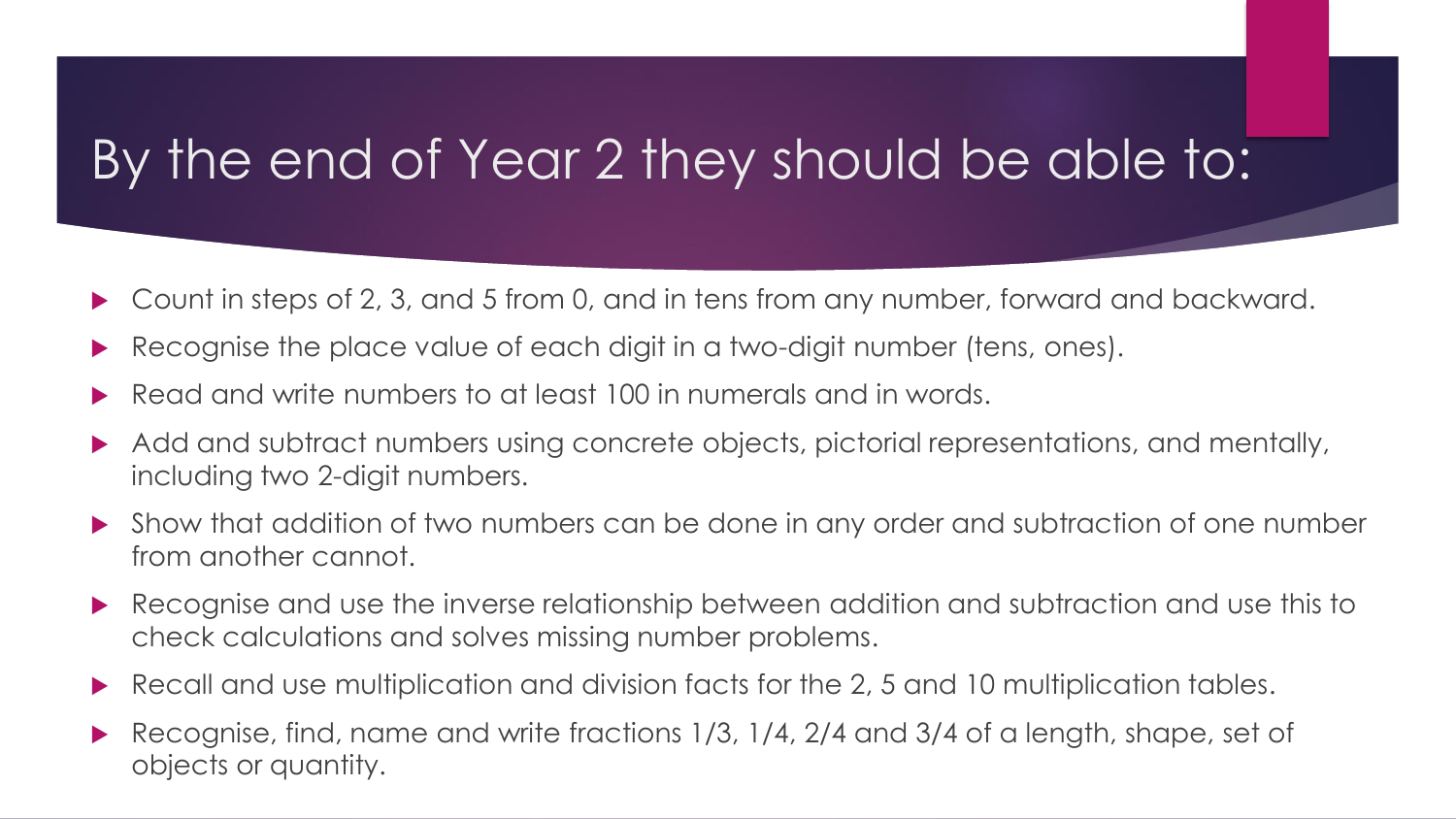# By the end of Year 2 they should be able to:

- ▶ Count in steps of 2, 3, and 5 from 0, and in tens from any number, forward and backward.
- Recognise the place value of each digit in a two-digit number (tens, ones).
- Read and write numbers to at least 100 in numerals and in words.
- Add and subtract numbers using concrete objects, pictorial representations, and mentally, including two 2-digit numbers.
- Show that addition of two numbers can be done in any order and subtraction of one number from another cannot.
- Recognise and use the inverse relationship between addition and subtraction and use this to check calculations and solves missing number problems.
- Recall and use multiplication and division facts for the 2, 5 and 10 multiplication tables.
- Recognise, find, name and write fractions 1/3, 1/4, 2/4 and 3/4 of a length, shape, set of objects or quantity.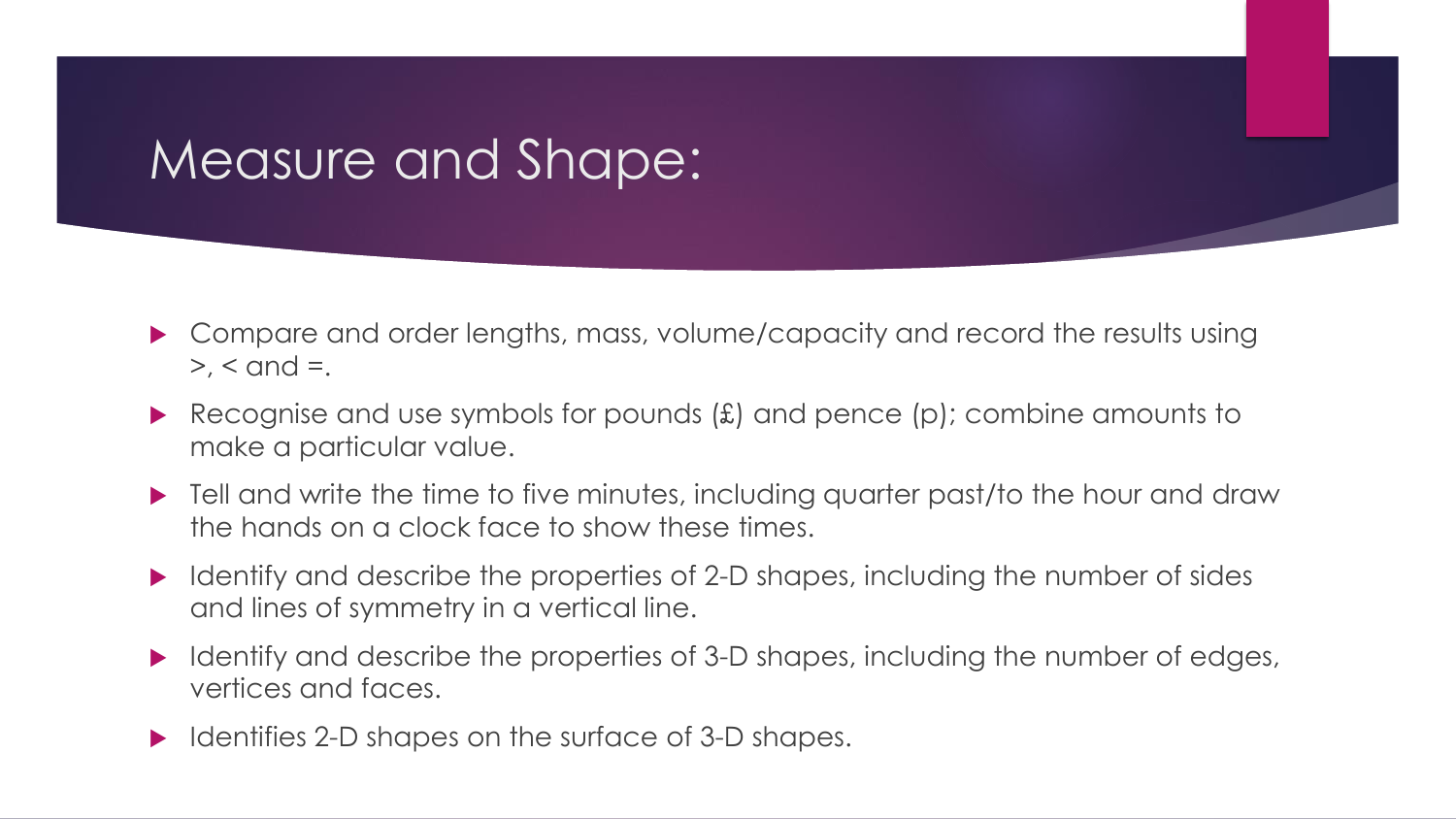### Measure and Shape:

- Compare and order lengths, mass, volume/capacity and record the results using  $>$ ,  $<$  and  $=$ .
- Recognise and use symbols for pounds  $(E)$  and pence  $(p)$ ; combine amounts to make a particular value.
- $\blacktriangleright$  Tell and write the time to five minutes, including quarter past/to the hour and draw the hands on a clock face to show these times.
- $\blacktriangleright$  Identify and describe the properties of 2-D shapes, including the number of sides and lines of symmetry in a vertical line.
- I Identify and describe the properties of 3-D shapes, including the number of edges, vertices and faces.
- $\blacktriangleright$  Identifies 2-D shapes on the surface of 3-D shapes.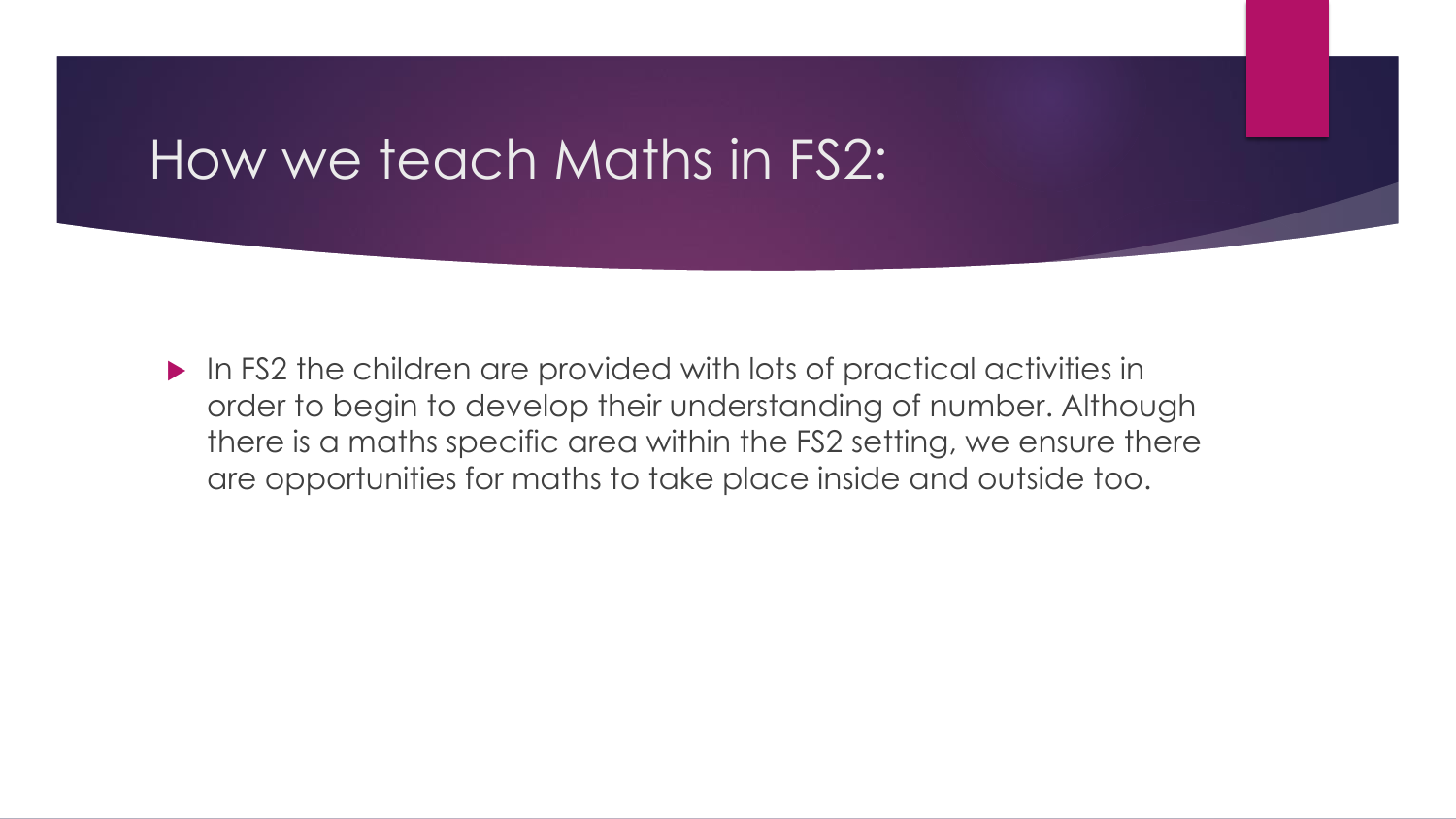#### How we teach Maths in FS2:

 In FS2 the children are provided with lots of practical activities in order to begin to develop their understanding of number. Although there is a maths specific area within the FS2 setting, we ensure there are opportunities for maths to take place inside and outside too.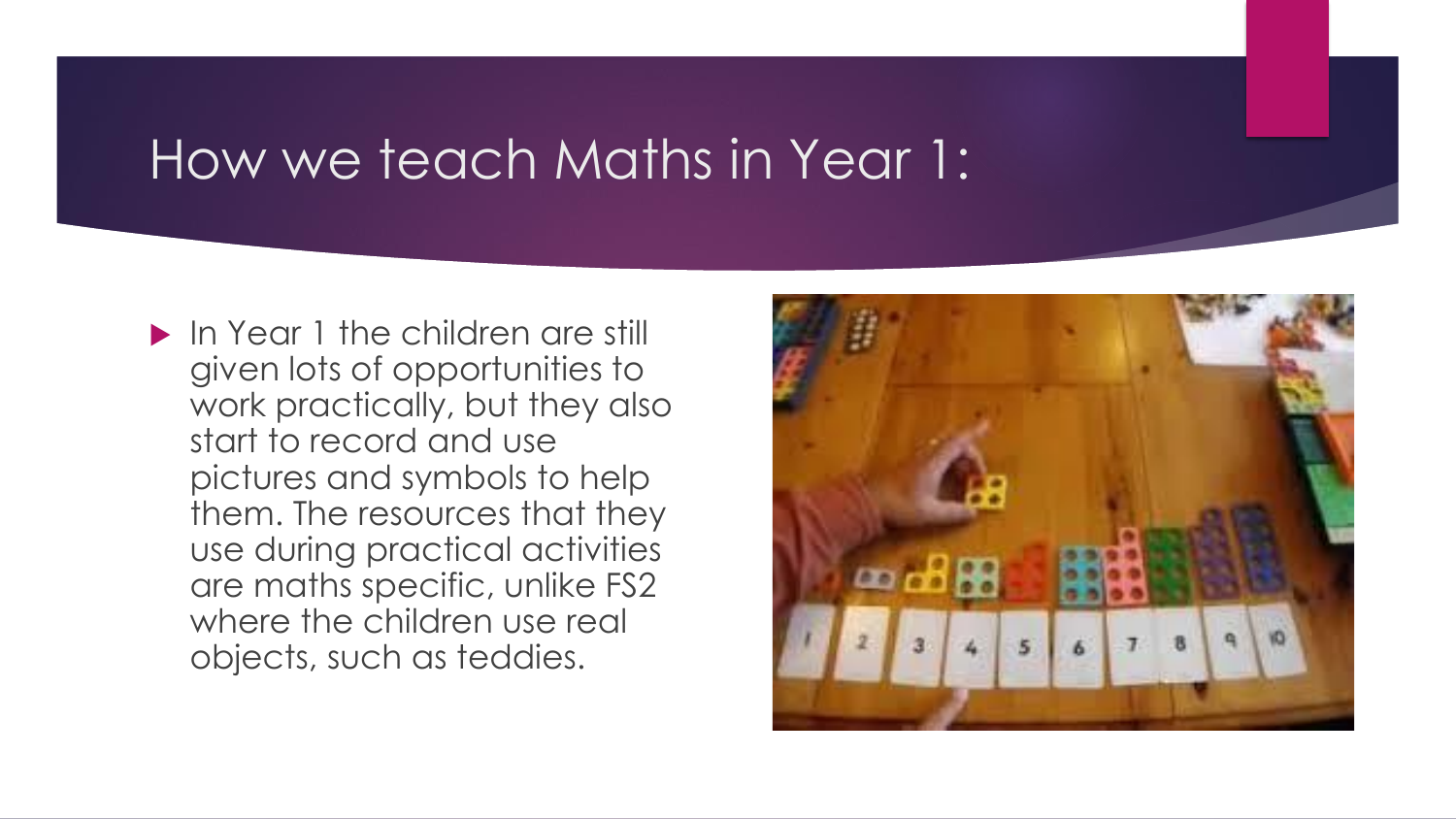### How we teach Maths in Year 1:

**In Year 1 the children are still** given lots of opportunities to work practically, but they also start to record and use pictures and symbols to help them. The resources that they use during practical activities are maths specific, unlike FS2 where the children use real objects, such as teddies.